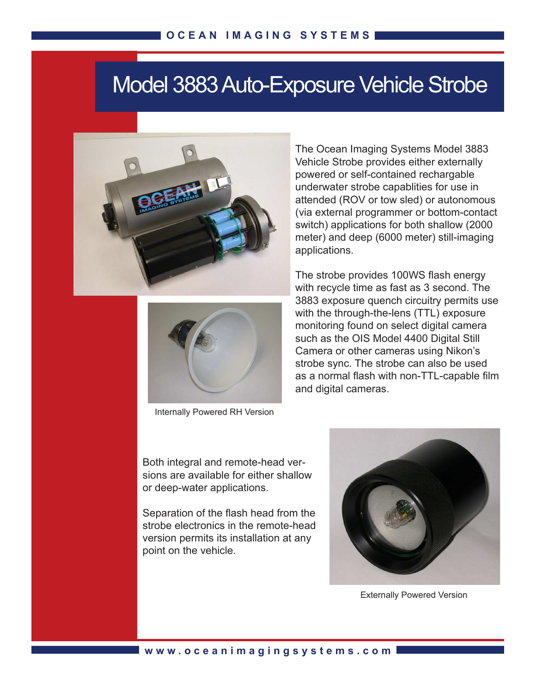## Model 3883 Auto-Exposure Vehicle Strobe





Internally Powered RH Version

The Ocean Imaging Systems Model 3883 Vehicle Strobe provides either externally powered or self-contained rechargable underwater strobe capablities for use in attended (ROV or tow sled) or autonomous (via external programmer or bottom-contact switch) applications for both shallow (2000 meter) and deep (6000 meter) still-imaging applications.

The strobe provides 100WS flash energy with recycle time as fast as 3 second. The 3883 exposure quench circuitry permits use with the through-the-lens (TTL) exposure monitoring found on select digital camera such as the OIS Model 4400 Digital Still Camera or other cameras using Nikon's strobe sync. The strobe can also be used as a normal flash with non-TTL-capable film and digital cameras.

Both integral and remote-head versions are available for either shallow or deep-water applications.

Separation of the flash head from the strobe electronics in the remote-head version permits its installation at any point on the vehicle.



Externally Powered Version